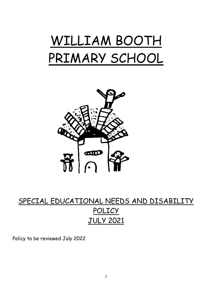



# SPECIAL EDUCATIONAL NEEDS AND DISABILITY POLICY JULY 2021

Policy to be reviewed July 2022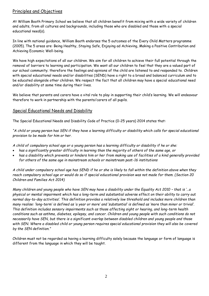## Principles and Objectives

At William Booth Primary School we believe that all children benefit from mixing with a wide variety of children and adults, from all cultures and backgrounds, including those who are disabled and those with a special educational need(s).

In line with national guidance, William Booth endorses the 5 outcomes of the Every Child Matters programme (2005). The 5 areas are: Being Healthy, Staying Safe, Enjoying ad Achieving, Making a Positive Contribution and Achieving Economic Well-being.

We have high expectations of all our children. We aim for all children to achieve their full potential through the removal of barriers to learning and participation. We want all our children to feel that they are a valued part of our school community; therefore the feelings and opinions of the child are listened to and responded to. Children with special educational needs and/or disabilities (SEND) have a right to a broad and balanced curriculum and to be educated alongside other children. We respect the fact that all children may have a special educational need and/or disability at some time during their lives.

We believe that parents and carers have a vital role to play in supporting their child's learning. We will endeavour therefore to work in partnership with the parents/carers of all pupils.

#### Special Educational Needs and Disability

The Special Educational Needs and Disability Code of Practice (0-25 years) 2014 states that:

*"A child or young person has SEN if they have a learning difficulty or disability which calls for special educational provision to be made for him or her.*

*A child of compulsory school age or a young person has a learning difficulty or disability if he or she:* 

- *has a significantly greater difficulty in learning than the majority of others of the same age, or*
- *has a disability which prevents or hinders him or her from making use of facilities of a kind generally provided for others of the same age in mainstream schools or mainstream post-16 institutions*

*A child under compulsory school age has SEND if he or she is likely to fall within the definition above when they reach compulsory school age or would do so if special educational provision was not made for them. (Section 20 Children and Families Act 2014)*

*Many children and young people who have SEN may have a disability under the Equality Act 2010 - that is '...a physical or mental impairment which has a long-term and substantial adverse effect on their ability to carry out normal day-to-day activities'. This definition provides a relatively low threshold and includes more children than many realise: 'long-term' is defined as 'a year or more' and 'substantial' is defined as 'more than minor or trivial'. This definition includes sensory impairments such as those affecting sight or hearing, and long-term health conditions such as asthma, diabetes, epilepsy, and cancer. Children and young people with such conditions do not necessarily have SEN, but there is a significant overlap between disabled children and young people and those with SEN. Where a disabled child or young person requires special educational provision they will also be covered by the SEN definition."*

Children must not be regarded as having a learning difficulty solely because the language or form of language is different from the language in which they will be taught.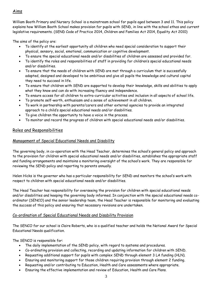# Aims

William Booth Primary and Nursery School is a mainstream school for pupils aged between 3 and 11. This policy explains how William Booth School makes provision for pupils with SEND, in line with the school ethos and current legislative requirements. (SEND Code of Practice 2014, Children and Families Act 2014, Equality Act 2010)

The aims of the policy are:

- To identify at the earliest opportunity all children who need special consideration to support their physical, sensory, social, emotional, communication or cognitive development.
- To ensure the special educational needs and/or disabilities of children are assessed and provided for.
- To identify the roles and responsibilities of staff in providing for children's special educational needs and/or disabilities.
- To ensure that the needs of children with SEND are met through a curriculum that is successfully adapted, designed and developed to be ambitious and give all pupils the knowledge and cultural capital they need to succeed in life.
- To ensure that children with SEND are supported to develop their knowledge, skills and abilities to apply what they know and can do with increasing fluency and independence.
- To ensure access for all children to extra-curricular activities and inclusion in all aspects of school life.
- To promote self-worth, enthusiasm and a sense of achievement in all children.
- To work in partnership with parents/carers and other external agencies to provide an integrated approach to a child's special educational needs and/or disabilities.
- To give children the opportunity to have a voice in the process.
- To monitor and record the progress of children with special educational needs and/or disabilities.

## Roles and Responsibilities

#### Management of Special Educational Needs and Disability

The governing body, in co-operation with the Head Teacher, determines the school's general policy and approach to the provision for children with special educational needs and/or disabilities, establishes the appropriate staff and funding arrangements and maintains a monitoring oversight of the school's work. They are responsible for reviewing the SEND policy and reporting to parents annually.

Helen Hicks is the governor who has a particular responsibility for SEND and monitors the school's work with respect to children with special educational needs and/or disabilities.

The Head Teacher has responsibility for overseeing the provision for children with special educational needs and/or disabilities and keeping the governing body informed. In conjunction with the special educational needs coordinator (SENCO) and the senior leadership team, the Head Teacher is responsible for monitoring and evaluating the success of this policy and ensuring that necessary revisions are undertaken.

#### Co-ordination of Special Educational Needs and Disability Provision

The SENCO for our school is Claire Roberts, who is a qualified teacher and holds the National Award for Special Educational Needs qualification.

The SENCO is responsible for:

- The daily implementation of the SEND policy, with regard to systems and procedures.
- Co-ordinating provision and collecting, recording and updating information for children with SEND.
- Requesting additional support for pupils with complex SEND through element 3 LA funding (HLN).
- Ensuring and monitoring support for those children requiring provision through element 2 funding.
- Requesting and/or contributing to Education, Health and Care assessments where appropriate.
- Ensuring the effective implementation and review of Education, Health and Care Plans.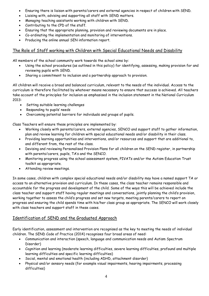- Ensuring there is liaison with parents/carers and external agencies in respect of children with SEND.
- Liaising with, advising and supporting all staff with SEND matters.
- Managing teaching assistants working with children with SEND.
- Contributing to the CPD of the staff.
- Ensuring that the appropriate planning, provision and reviewing documents are in place.
- Co-ordinating the implementation and monitoring of interventions.
- Producing the online annual SEN information report.

## The Role of Staff working with Children with Special Educational Needs and Disability

All members of the school community work towards the school aims by:

- Using the school procedures (as outlined in this policy) for identifying, assessing, making provision for and reviewing pupils with SEND.
- Sharing a commitment to inclusion and a partnership approach to provision.

All children will receive a broad and balanced curriculum, relevant to the needs of the individual. Access to the curriculum is therefore facilitated by whatever means necessary to ensure that success is achieved. All teachers take account of the principles for inclusion as emphasised in the inclusion statement in the National Curriculum 2013:

- Setting suitable learning challenges
- Responding to pupils' needs
- Overcoming potential barriers for individuals and groups of pupils.

Class Teachers will ensure these principles are implemented by:

- Working closely with parents/carers, external agencies, SENCO and support staff to gather information, plan and review learning for children with special educational needs and/or disability in their class.
- Providing learning opportunities and interventions, and/or resources and support that are additional to, and different from, the rest of the class.
- Devising and reviewing Personalised Provision Plans for all children on the SEND register, in partnership with parents/carers, pupils, TA's and the SENCO.
- Monitoring progress using the school assessment system, PIVATs and/or the Autism Education Trust toolkit as appropriate.
- Attending review meetings.

In some cases, children with complex special educational needs and/or disability may have a named support TA or access to an alternative provision and curriculum. In these cases, the class teacher remains responsible and accountable for the progress and development of the child. Some of the ways this will be achieved include the class teacher and support staff having regular meetings and conversations, jointly planning the child's provision, working together to assess the child's progress and set new targets, meeting parents/carers to report on progress and ensuring the child spends time with his/her class group as appropriate. The SENCO will work closely with class teachers and support staff in these cases.

## Identification of SEND and the Graduated Approach

Early identification, assessment and intervention are recognised as the key to meeting the needs of individual children. The SEND Code of Practice (2014) recognises four broad areas of need:

- Communication and interaction (speech, language and communication needs and Autism Spectrum Disorder)
- Cognition and learning (moderate learning difficulties, severe learning difficulties, profound and multiple learning difficulties and specific learning difficulties)
- Social, mental and emotional health (including ADHD, attachment disorder)
- Physical and/or sensory needs (for example visual impairments, hearing impairments, processing difficulties)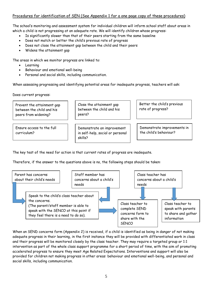## Procedures for identification of SEN (See Appendix 1 for a one page copy of these procedures)

The school's monitoring and assessment system for individual children will inform school staff about areas in which a child is not progressing at an adequate rate. We will identify children whose progress:

- Is significantly slower than that of their peers starting from the same baseline
- Does not match or better the child's previous rate of progress
- Does not close the attainment gap between the child and their peers
- Widens the attainment gap

The areas in which we monitor progress are linked to:

- Learning
- Behaviour and emotional well-being
- Personal and social skills, including communication.

When assessing progressing and identifying potential areas for inadequate progress, teachers will ask:

Does current progress:

Prevent the attainment gap between the child and his peers from widening?

Ensure access to the full curriculum?

Close the attainment gap between the child and his peers?

Demonstrate an improvement in self-help, social or personal skills?

Better the child's previous rate of progress?

Demonstrate improvements in the child's behaviour?

The key test of the need for action is that current rates of progress are inadequate.

Therefore, if the answer to the questions above is no, the following steps should be taken:



When an SEND concerns form (Appendix 2) is received, if a child is identified as being in danger of not making adequate progress in their learning, in the first instance they will be provided with differentiated work in class and their progress will be monitored closely by the class teacher. They may require a targeted group or 1:1 intervention as part of the whole class support programme for a short period of time, with the aim of promoting accelerated progress to ensure they meet Age Related Expectations. Interventions and support will also be provided for children not making progress in other areas: behaviour and emotional well-being, and personal and social skills, including communication.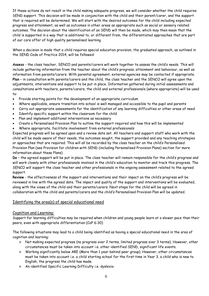If these actions do not result in the child making adequate progress, we will consider whether the child requires SEND support. This decision will be made in conjunction with the child and their parent/carer, and the support that is required will be determined. We will start with the desired outcomes for the child including expected progress and attainment, as well as outcomes in other areas as appropriate such as social or sensory related outcomes. The decision about the identification of an SEND will then be made, which may then mean that the child is supported in a way that is additional to, or different from, the differentiated approaches that are part of our core offer of high quality personalised learning.

When a decision is made that a child requires special education provision, the graduated approach, as outlined in the SEND Code of Practice 2014, will be followed:

**Assess** - the class teacher, SENCO and parents/carers will work together to assess the child's needs. This will include gathering information from the teacher about the child's progress, attainment and behaviour, as well as information from parents/carers. With parental agreement, external agencies may be contacted if appropriate. **Plan** – in consultation with parents/carers and the child, the class teacher and the SENCO will agree upon the adjustments, interventions and support to be put in place. Information gathered during initial assessments and consultations with teachers, parents/carers, the child and external professionals (where appropriate) will be used to:

- Provide starting points for the development of an appropriate curriculum
- Where applicable, ensure transition into school is well managed and accessible to the pupil and parents
- Carry out appropriate assessments for the identification of any learning difficulties or other areas of need
- Identify specific support within the classroom for the child
- Plan and implement additional interventions as necessary
- Create a Personalised Provision Plan to outline the support required and how this will be implemented
- Where appropriate, facilitate involvement from external professionals

Expected progress will be agreed upon and a review date set. All teachers and support staff who work with the child will be made aware of their needs, the outcomes sought, the support provided and any teaching strategies or approaches that are required. This will all be recorded by the class teacher on the child's Personalised Provision Plan (see Provision for children with SEND (including Personalised Provision Plans) section for more information about these Plans)

**Do** – the agreed support will be put in place. The class teacher will remain responsible for the child's progress and will work closely with other professionals involved in the child's education to monitor and track this progress. The SENCO will support the class teacher and other professionals in the ongoing assessment related to the agreed support.

**Review** - the effectiveness of the support and interventions and their impact on the child's progress will be reviewed in line with the agreed date. The impact and quality of the support and interventions will be evaluated, along with the views of the child and their parents/carers. Next steps for the child will be agreed in collaboration with the child and parents/carers and the child's Personalised Provision Plan will be updated.

## Identifying the area(s) of special educational need

#### Cognition and Learning:

Support for learning difficulties may be required when children and young people learn at a slower pace than their peers, even with appropriate differentiation (CoP 6:30)

The following situations may lead to a child being identified as having a special educational need in the area of cognition and learning:

- ➢ Not making expected progress (no progress over 2 terms, limited progress over 3 terms). However, other circumstances must be taken into account i.e. other identified SEND, significant life events.
- $\triangleright$  Working significantly below ARE (More than 1 year behind peer group). However, other circumstances must be taken into account i.e. a child starting school for the first time in Year 3, a child who is new to English, the progress the child has made.
- ➢ An identified Specific Learning Difficulty i.e. dyslexia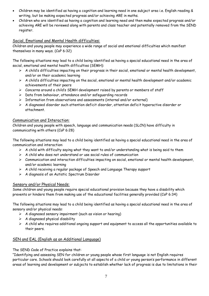- Children may be identified as having a cognition and learning need in one subject area i.e. English reading & writing, but be making expected progress and/or achieving ARE in maths.
- Children who are identified as having a cognition and learning need and then make expected progress and/or achieving ARE will be reviewed along with parents and class teacher and potentially removed from the SEND register.

#### Social, Emotional and Mental Health difficulties:

Children and young people may experience a wide range of social and emotional difficulties which manifest themselves in many ways. (CoP 6:32)

The following situations may lead to a child being identified as having a special educational need in the area of social, emotional and mental health difficulties (SEMH):

- ➢ A child's difficulties impacting on their progress in their social, emotional or mental health development, and/or on their academic learning
- ➢ A child's difficulties impacting on the social, emotional or mental health development and/or academic achievements of their peers
- ➢ Concerns around a child's SEMH development raised by parents or members of staff
- ➢ Data from behaviour, attendance and/or safeguarding records
- ➢ Information from observations and assessments (internal and/or external)
- $\triangleright$  A diagnosed disorder such attention deficit disorder, attention deficit hyperactive disorder or attachment.

#### Communication and Interaction:

Children and young people with speech, language and communication needs (SLCN) have difficulty in communicating with others (CoP 6:28)

The following situations may lead to a child being identified as having a special educational need in the area of communication and interaction:

- $\triangleright$  A child with difficulty saying what they want to and/or understanding what is being said to them
- $\triangleright$  A child who does not understand or use social rules of communication
- ➢ Communication and interaction difficulties impacting on social, emotional or mental health development, and/or academic learning
- ➢ A child receiving a regular package of Speech and Language Therapy support
- ➢ A diagnosis of an Autistic Spectrum Disorder

#### Sensory and/or Physical Needs:

Some children and young people require special educational provision because they have a disability which prevents or hinders them from making use of the educational facilities generally provided (CoP 6:34)

The following situations may lead to a child being identified as having a special educational need in the area of sensory and/or physical needs:

- ➢ A diagnosed sensory impairment (such as vision or hearing)
- $\triangleright$  A diagnosed physical disability
- ➢ A child who requires additional ongoing support and equipment to access all the opportunities available to their peers.

## SEN and EAL (English as an Additional Language)

The SEND Code of Practice explains that:

"Identifying and assessing SEN for children or young people whose first language is not English requires particular care. Schools should look carefully at all aspects of a child or young person's performance in different areas of learning and development or subjects to establish whether lack of progress is due to limitations in their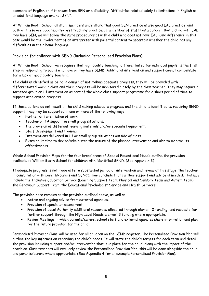command of English or if it arises from SEN or a disability. Difficulties related solely to limitations in English as an additional language are not SEN".

At William Booth School, all staff members understand that good SEN practice is also good EAL practice, and both of these are good 'quality-first teaching' practice. If a member of staff has a concern that a child with EAL may have SEN, we will follow the same procedures as with a child who does not have EAL. One difference in this case would be the involvement of an interpreter with parental consent to ascertain whether the child has any difficulties in their home language.

#### Provision for children with SEND (including Personalised Provision Plans)

At William Booth School, we recognise that high quality teaching, differentiated for individual pupils, is the first step in responding to pupils who have or may have SEND. Additional intervention and support cannot compensate for a lack of good quality teaching.

If a child is identified as being in danger of not making adequate progress, they will be provided with differentiated work in class and their progress will be monitored closely by the class teacher. They may require a targeted group or 1:1 intervention as part of the whole class support programme for a short period of time to support accelerated progress.

If these actions do not result in the child making adequate progress and the child is identified as requiring SEND support, they may be supported in one or more of the following ways:

- Further differentiation of work
- Teacher or TA support in small group situations.
- The provision of different learning materials and/or specialist equipment.
- Staff development and training.
- Interventions delivered in 1:1 or small group situations outside of class.
- Extra adult time to devise/administer the nature of the planned intervention and also to monitor its effectiveness.

Whole School Provision Maps for the four broad areas of Special Educational Needs outline the provision available at William Booth School for children with identified SEND. (See Appendix 3)

If adequate progress is not made after a substantial period of intervention and review at this stage, the teacher in consultation with parents/carers and SENCO may conclude that further support and advice is needed. This may include the Inclusive Education Service (Learning Support Team, Physical and Sensory Team and Autism Team), the Behaviour Support Team, the Educational Psychologist Service and Health Services.

The provision here remains as the provision outlined above, as well as:

- Active and ongoing advice from external agencies.
- Provision of specialist assessment.
- Provision of Local Authority additional resources allocated through element 2 funding, and requests for further support through the High Level Needs element 3 funding where appropriate.
- Review Meetings in which parents/carers, school staff and external agencies share information and plan for the future provision for the child.

Personalised Provision Plans will be used for all children on the SEND register. The Personalised Provision Plan will outline the key information regarding the child's needs. It will state the child's targets for each term and detail the provision including support and/or intervention that is in place for the child, along with the impact of the provision. Class teachers will regularly review the Personalised Provision Plan; this will be done alongside the child and parents/carers where appropriate. (See Appendix 4 for an example Personalised Provision Plan).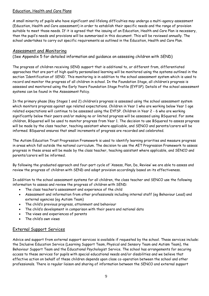#### Education, Health and Care Plans

A small minority of pupils who have significant and lifelong difficulties may undergo a multi-agency assessment (Education, Health and Care assessment) in order to establish their specific needs and the range of provision suitable to meet those needs. If it is agreed that the issuing of an Education, Health and Care Plan is necessary, then the pupil's needs and provisions will be summarised in this document. This will be reviewed annually. The school undertakes to carry out specific requirements as outlined in the Education, Health and Care Plan.

## Assessment and Monitoring

(See Appendix 5 for detailed information and guidance on assessing children with SEND)

The progress of children receiving SEND support that is additional to, or different from, differentiated approaches that are part of high quality personalised learning will be monitored using the systems outlined in the section 'Identification of SEND'. This monitoring is in addition to the school assessment system which is used to record and monitor the progress of all children in school. In the Foundation Stage, all children's progress is assessed and monitored using the Early Years Foundation Stage Profile (EYFSP). Details of the school assessment systems can be found in the Assessment Policy.

In the primary phase (Key Stages 1 and 2) children's progress is assessed using the school assessment system which monitors progress against age related expectations. Children in Year 1 who are working below Year 1 age related expectations will continue to be assessed using the EYFSP. Children in Year 2 - 6 who are working significantly below their peers and/or making no or limited progress will be assessed using BSquared. For some children, BSquared will be used to monitor progress from Year 1. The decision to use BSquared to assess progress will be made by the class teacher, teaching assistant where applicable, and SENCO and parents/carers will be informed. BSquared ensures that small increments of progress are recorded and celebrated.

The Autism Education Trust Progression Framework is used to identify learning priorities and measure progress in areas which fall outside the national curriculum. The decision to use the AET Progression Framework to assess progress in these areas will be made by the class teacher, teaching assistant where applicable, and SENCO and parents/carers will be informed.

By following the graduated approach and four-part cycle of 'Assess, Plan, Do, Review' we are able to assess and review the progress of children with SEND and adapt provision accordingly based on its effectiveness.

In addition to the school assessment systems for all children, the class teacher and SENCO use the following information to assess and review the progress of children with SEND:

- The class teacher's assessment and experience of the child
- Assessment and information from other professionals including internal staff (eg Behaviour Lead) and external agencies (eg Autism Team)
- The child's previous progress, attainment and behaviour
- The child's development in comparison with their peers and national data
- The views and experiences of parents
- The child's own views

## External Support Services

Advice and support from external support services is available if requested by the school. These services include: the Inclusive Education Service (Learning Support Team, Physical and Sensory Team and Autism Team), the Behaviour Support Team and the Educational Psychologist Service. The school has arrangements for securing access to these services for pupils with special educational needs and/or disabilities and we believe that effective action on behalf of these children depends upon close co-operation between the school and other professionals. There is regular liaison and sharing of information between the SENCO and external support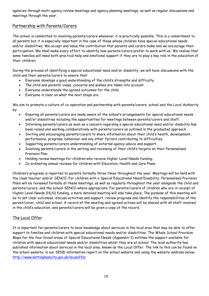agencies through multi-agency review meetings and agency planning meetings, as well as regular discussions and meetings through the year.

## Partnership with Parents/Carers

The school is committed to involving parents/carers whenever it is practically possible. This is a commitment to all parents but it is especially important in the case of those whose children have special educational needs and/or disabilities. We accept and value the contribution that parents and carers make and we encourage their participation. We shall make every effort to identify how parents/carers prefer to work with us. We realise that some families will need both practical help and emotional support if they are to play a key role in the education of their children.

During the process of identifying a special educational need and/or disability, we will have discussions with the child and their parents/carers to ensure that:

- Everyone develops a good understanding of the child's strengths and difficulty.
- The child and parents' views, concerns and wishes are taken into account.
- Everyone understands the agreed outcomes for the child.
- Everyone is clear on what the next steps are.

We aim to promote a culture of co-operation and partnership with parents/carers, school and the Local Authority by:

- Ensuring all parents/carers are made aware of the school's arrangements for special educational needs and/or disabilities including the opportunities for meetings between parents/carers and staff.
- Informing parents/carers as soon as a concern regarding a special educational need and/or disability has been raised and working collaboratively with parents/carers as outlined in the graduated approach.
- Inviting and encouraging parents/carers to share information about their child's health, development, performance, progress, behaviour and any other factors contributing to difficulties.
- Supporting parents/carers understanding of external agency advice and support.
- Involving parents/carers in the setting and reviewing of their child's targets on their Personalised Provision Plan.
- Holding review meetings for children who receive Higher Level Needs funding.
- Co-ordinating annual reviews for children with Education, Health and Care Plans.

Children's progress is reported to parents formally three times throughout the year. Meetings will be held with the class teacher and/or SENCO. For children with a Special Educational Need/Disability, Personalised Provision Plans will be reviewed formally at these meetings, as well as regularly throughout the year alongside the child and parents/carers, and the school SENCO where appropriate. For parents/carers of children who are in receipt of Higher Level Needs (HLN) funding, a more detailed meeting will also take place. The purpose of this meeting will be to set clear outcomes, discuss activities and support, review progress and identify the responsibilities of the parent/carer, child and school. A record of the meeting and agreed actions will be shared with all staff involved in the child's education, and parents/carers will be given a copy of the record.

## The Local Offer

It is important for parents/carers to have knowledge about services in the local area that may be able to offer support to families and children with special educational needs and/or disabilities. The Whole School Provision Maps for the four broad areas of Special Educational Needs (Appendix 3) outlines the support available for children with special educational needs and/or disabilities whilst they are at school. The local authority has published information about services in the local area, known as the Local Offer. The link to this can be found on the school website, in our SEND information report on the school website and using the website address below: <http://www.nottinghamcity.gov.uk/localoffer>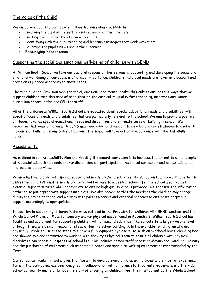# The Voice of the Child

We encourage pupils to participate in their learning where possible by:

- Involving the pupil in the setting and reviewing of their targets.
- Inviting the pupil to attend review meetings.
- Identifying with the pupil teaching and learning strategies that work with them.
- Soliciting the pupil's views about their learning.
- Encouraging independence.

#### Supporting the social and emotional well-being of children with SEND

At William Booth School we take our pastoral responsibilities seriously. Supporting and developing the social and emotional well-being of our pupils is of utmost importance. Children's individual needs are taken into account and provision is planned according to these needs.

The Whole School Provision Map for social, emotional and mental health difficulties outlines the ways that we support children with this area of need through the curriculum, quality first teaching, interventions, wider curriculum opportunities and CPD for staff.

All of the children at William Booth School are educated about special educational needs and disabilities, with specific focus on needs and disabilities that are particularly relevant to the school. We aim to promote positive attitudes towards special educational needs and disabilities and eliminate cases of bullying in school. We recognise that some children with SEND may need additional support to develop and use strategies to deal with incidents of bullying. In any cases of bullying, the school will take action in accordance with the Anti-Bullying Policy.

#### Accessibility

As outlined in our Accessibility Plan and Equality Statement, our vision is to increase the extent to which people with special educational needs and/or disabilities can participate in the school curriculum and access education and associated services.

When admitting a child with special educational needs and/or disabilities, the school and family work together to assess the child's strengths, needs and potential barriers to accessing school life. The school also involves external support services when appropriate to ensure high quality care is provided. We then use the information gathered to put appropriate support into place. We also recognise that the needs of the children may change during their time at school and we work with parents/carers and external agencies to ensure we adapt our support accordingly as appropriate.

In addition to supporting children in the ways outlined in the 'Provision for children with SEND' section, and the Whole School Provision Maps for sensory and/or physical needs found in Appendix 3, William Booth School has facilities and equipment for supporting children with physical disabilities. The school site is largely on one level although there are a small number of steps within the school building. A lift is available for children who are physically unable to use these steps. We have a fully equipped hygiene suite, with an overhead hoist, changing bed and shower. We are committed to working with the City's Physical Team to ensure all children with physical disabilities can access all aspects of school life. This includes named staff accessing Moving and Handling Training and the purchasing of equipment such as portable ramps and specialist writing equipment as recommended by the Team.

Our school curriculum intent states that 'we aim to develop every child as an individual and strive for excellence for all'. The curriculum has been designed in collaboration with children, staff, parents, Governors and the wider school community and is ambitious in its aim of ensuring all children meet their full potential. The Whole School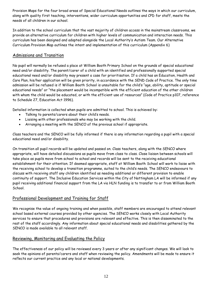Provision Maps for the four broad areas of Special Educational Needs outlines the ways in which our curriculum, along with quality first teaching, interventions, wider curriculum opportunities and CPD for staff, meets the needs of all children in our school.

In addition to the school curriculum that the vast majority of children access in the mainstream classrooms, we provide an alternative curriculum for children with higher levels of communication and interaction needs. This curriculum has been designed and adapted alongside the Local Authority's Autism Team. Our Alternative Curriculum Provision Map outlines the intent and implementation of this curriculum (Appendix 6)

## Admissions and Transition

No pupil will normally be refused a place at William Booth Primary School on the grounds of special educational need and/or disability. The parent/carer of a child with an identified and professionally supported special educational need and/or disability may present a case for prioritisation. If a child has an Education, Health and Care Plan, his/her application will be given priority, in accordance with the SEND Code of Practice. The only time admission will be refused is if William Booth School is unsuitable for the child's "age, ability, aptitude or special educational needs" or "the placement would be incompatible with the efficient education of the other children with whom the child would be educated, or with the efficient use of resources" (Code of Practice p107, reference to Schedule 27, Education Act 1996).

Detailed information is collected when pupils are admitted to school. This is achieved by:

- Talking to parents/carers about their child's needs.
- Liaising with other professionals who may be working with the child.
- Arranging a meeting with the SENCO of the previous school if appropriate.

Class teachers and the SENCO will be fully informed if there is any information regarding a pupil with a special educational need and/or disability.

On transition all pupil records will be updated and passed on. Class teachers, along with the SENCO where appropriate, will have detailed discussions as pupils move from class to class. Close liaison between schools will take place as pupils move from school to school and records will be sent to the receiving educational establishment for their attention. If deemed appropriate, staff at William Booth School will work to liaise with the receiving school to develop a transition programme, suited to the child's needs. The SENCO endeavours to discuss with receiving staff any children identified as needing additional or different provision to enable continuity of support. The Inclusive Education Services within the City of Nottingham LA will be informed if any pupil receiving additional financial support from the LA via HLN funding is to transfer to or from William Booth **School** 

## Professional Development and Training for Staff

We recognise the value of ongoing training and when possible, staff members are encouraged to attend relevant school based external courses provided by other agencies. The SENCO works closely with Local Authority services to ensure that procedures and provisions are relevant and effective. This is then disseminated to the rest of the staff accordingly. Any information about special educational needs and disabilities gathered by the SENCO is made available to all relevant staff.

## Reviewing, Monitoring and Evaluating the Policy

The effectiveness of our policy will be reviewed every 3 years or after any significant changes. We will look to seek the opinions of parents/carers and staff when reviewing the policy. Amendments will be made to ensure it reflects our current practice and any local or national developments.